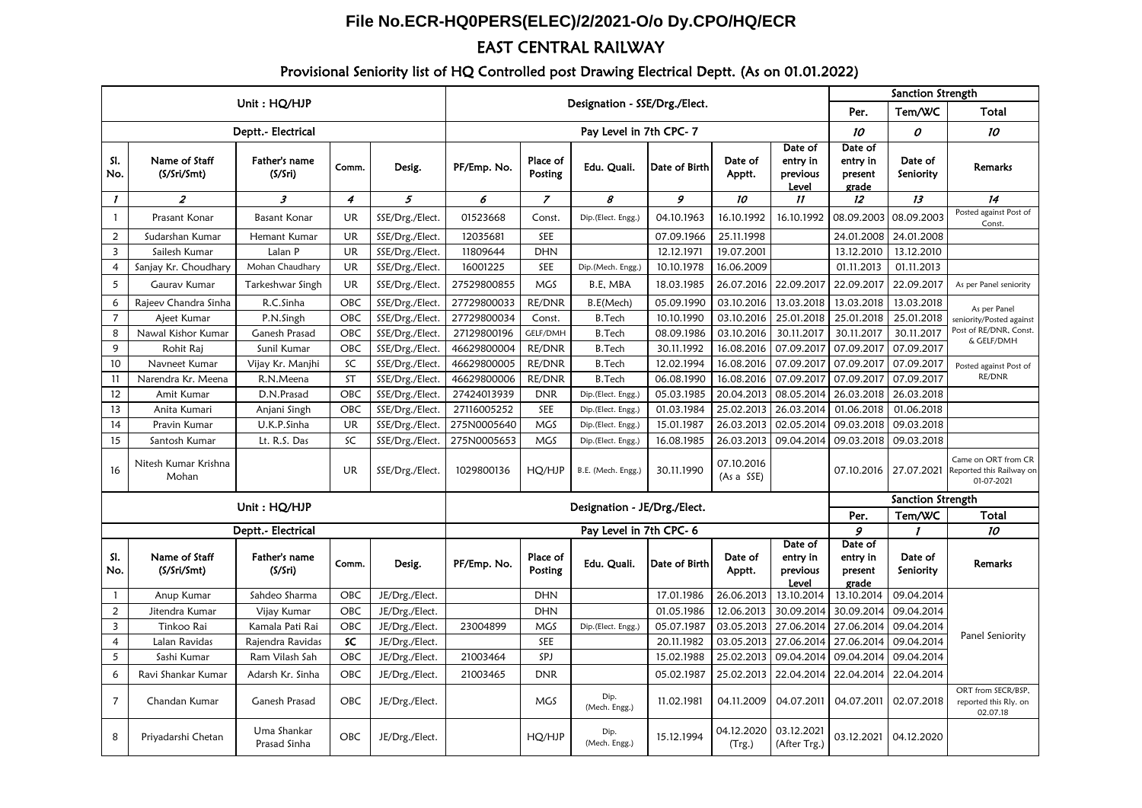## **File No.ECR-HQ0PERS(ELEC)/2/2021-O/o Dy.CPO/HQ/ECR**

## EAST CENTRAL RAILWAY

## Provisional Seniority list of HQ Controlled post Drawing Electrical Deptt. (As on 01.01.2022)

|                         |                               |                             |                              |                 |                               |                     |                       |               | Sanction Strength        |                                          |                                         |                      |                                                                  |
|-------------------------|-------------------------------|-----------------------------|------------------------------|-----------------|-------------------------------|---------------------|-----------------------|---------------|--------------------------|------------------------------------------|-----------------------------------------|----------------------|------------------------------------------------------------------|
| Unit: HQ/HJP            |                               |                             |                              |                 | Designation - SSE/Drg./Elect. |                     |                       |               |                          |                                          | Per.                                    | Tem/WC               | Total                                                            |
| Deptt.- Electrical      |                               |                             |                              |                 | Pay Level in 7th CPC-7        |                     |                       |               |                          |                                          | 10                                      | 0                    | 10                                                               |
| SI.<br>No.              | Name of Staff<br>(S/Sri/Smt)  | Father's name<br>(S/Sri)    | Comm.                        | Desig.          | PF/Emp. No.                   | Place of<br>Posting | Edu. Quali.           | Date of Birth | Date of<br>Apptt.        | Date of<br>entry in<br>previous<br>Level | Date of<br>entry in<br>present<br>grade | Date of<br>Seniority | <b>Remarks</b>                                                   |
| $\mathbf{I}$            | $\boldsymbol{z}$              | 3                           | 4                            | 5               | 6                             | $\overline{z}$      | 8                     | 9             | 10                       | $\boldsymbol{\eta}$                      | 12                                      | 13                   | 14                                                               |
| $\mathbf{1}$            | Prasant Konar                 | <b>Basant Konar</b>         | <b>UR</b>                    | SSE/Drg./Elect. | 01523668                      | Const.              | Dip.(Elect. Engg.)    | 04.10.1963    | 16.10.1992               | 16.10.1992                               | 08.09.2003                              | 08.09.2003           | Posted against Post of<br>Const.                                 |
| 2                       | Sudarshan Kumar               | Hemant Kumar                | <b>UR</b>                    | SSE/Drg./Elect. | 12035681                      | SEE                 |                       | 07.09.1966    | 25.11.1998               |                                          | 24.01.2008                              | 24.01.2008           |                                                                  |
| $\overline{\mathbf{3}}$ | Sailesh Kumar                 | Lalan P                     | <b>UR</b>                    | SSE/Drg./Elect. | 11809644                      | <b>DHN</b>          |                       | 12.12.1971    | 19.07.2001               |                                          | 13.12.2010                              | 13.12.2010           |                                                                  |
| $\overline{4}$          | Sanjay Kr. Choudhary          | Mohan Chaudhary             | UR                           | SSE/Drg./Elect. | 16001225                      | SEE                 | Dip.(Mech. Engg.)     | 10.10.1978    | 16.06.2009               |                                          | 01.11.2013                              | 01.11.2013           |                                                                  |
| 5                       | Gaurav Kumar                  | Tarkeshwar Singh            | <b>UR</b>                    | SSE/Drg./Elect. | 27529800855                   | <b>MGS</b>          | B.E. MBA              | 18.03.1985    | 26.07.2016               | 22.09.2017                               | 22.09.2017                              | 22.09.2017           | As per Panel seniority                                           |
| 6                       | Rajeev Chandra Sinha          | R.C.Sinha                   | OBC                          | SSE/Drg./Elect. | 27729800033                   | RE/DNR              | B.E(Mech)             | 05.09.1990    | 03.10.2016               | 13.03.2018                               | 13.03.2018                              | 13.03.2018           | As per Panel                                                     |
| $\overline{7}$          | Ajeet Kumar                   | P.N.Singh                   | OBC                          | SSE/Drg./Elect. | 27729800034                   | Const.              | <b>B.Tech</b>         | 10.10.1990    | 03.10.2016               | 25.01.2018                               | 25.01.2018                              | 25.01.2018           | seniority/Posted against<br>Post of RE/DNR, Const.<br>& GELF/DMH |
| 8                       | Nawal Kishor Kumar            | Ganesh Prasad               | OBC                          | SSE/Drg./Elect. | 27129800196                   | GELF/DMH            | <b>B.Tech</b>         | 08.09.1986    | 03.10.2016               | 30.11.2017                               | 30.11.2017                              | 30.11.2017           |                                                                  |
| 9                       | Rohit Raj                     | Sunil Kumar                 | OBC                          | SSE/Drg./Elect. | 46629800004                   | RE/DNR              | <b>B.Tech</b>         | 30.11.1992    | 16.08.2016               | 07.09.2017                               | 07.09.2017                              | 07.09.2017           |                                                                  |
| 10                      | Navneet Kumar                 | Vijay Kr. Manjhi            | SC                           | SSE/Drg./Elect. | 46629800005                   | RE/DNR              | <b>B.Tech</b>         | 12.02.1994    | 16.08.2016               | 07.09.2017                               | 07.09.2017                              | 07.09.2017           | Posted against Post of                                           |
| 11                      | Narendra Kr. Meena            | R.N.Meena                   | ST                           | SSE/Drg./Elect. | 46629800006                   | RE/DNR              | <b>B.Tech</b>         | 06.08.1990    | 16.08.2016               | 07.09.2017                               | 07.09.2017                              | 07.09.2017           | RE/DNR                                                           |
| 12                      | Amit Kumar                    | D.N.Prasad                  | OBC                          | SSE/Drg./Elect. | 27424013939                   | <b>DNR</b>          | Dip.(Elect. Engg.)    | 05.03.1985    | 20.04.2013               | 08.05.2014                               | 26.03.2018                              | 26.03.2018           |                                                                  |
| 13                      | Anita Kumari                  | Anjani Singh                | OBC                          | SSE/Drg./Elect. | 27116005252                   | SEE                 | Dip.(Elect. Engg.)    | 01.03.1984    | 25.02.2013               | 26.03.2014                               | 01.06.2018                              | 01.06.2018           |                                                                  |
| 14                      | Pravin Kumar                  | U.K.P.Sinha                 | <b>UR</b>                    | SSE/Drg./Elect. | 275N0005640                   | MGS                 | Dip.(Elect. Engg.)    | 15.01.1987    | 26.03.2013               | 02.05.2014                               | 09.03.2018                              | 09.03.2018           |                                                                  |
| 15                      | Santosh Kumar                 | Lt. R.S. Das                | SC                           | SSE/Drg./Elect. | 275N0005653                   | MGS                 | Dip.(Elect. Engg.)    | 16.08.1985    | 26.03.2013               | 09.04.2014                               | 09.03.2018                              | 09.03.2018           |                                                                  |
| 16                      | Nitesh Kumar Krishna<br>Mohan |                             | UR                           | SSE/Drg./Elect. | 1029800136                    | HQ/HJP              | B.E. (Mech. Engg.)    | 30.11.1990    | 07.10.2016<br>(As a SSE) |                                          | 07.10.2016                              | 27.07.2021           | Came on ORT from CR<br>Reported this Railway on<br>01-07-2021    |
|                         |                               | Unit: HQ/HJP                | Designation - JE/Drg./Elect. |                 |                               |                     |                       |               | Sanction Strength        |                                          |                                         |                      |                                                                  |
|                         |                               |                             |                              |                 |                               |                     |                       |               |                          |                                          | Per.                                    | Tem/WC               | Total                                                            |
| Deptt.- Electrical      |                               |                             |                              |                 | Pay Level in 7th CPC-6        |                     |                       |               |                          |                                          | 9                                       | $\mathbf{I}$         | 10                                                               |
| SI.<br>No.              | Name of Staff<br>(S/Sri/Smt)  | Father's name<br>(S/Sri)    | Comm.                        | Desig.          | PF/Emp. No.                   | Place of<br>Posting | Edu. Quali.           | Date of Birth | Date of<br>Apptt.        | Date of<br>entry in<br>previous<br>Level | Date of<br>entry in<br>present<br>grade | Date of<br>Seniority | <b>Remarks</b>                                                   |
| $\mathbf{1}$            | Anup Kumar                    | Sahdeo Sharma               | OBC                          | JE/Drg./Elect.  |                               | <b>DHN</b>          |                       | 17.01.1986    | 26.06.2013               | 13.10.2014                               | 13.10.2014                              | 09.04.2014           |                                                                  |
| 2                       | Jitendra Kumar                | Vijay Kumar                 | OBC                          | JE/Drg./Elect.  |                               | <b>DHN</b>          |                       | 01.05.1986    | 12.06.2013               | 30.09.2014                               | 30.09.2014                              | 09.04.2014           | Panel Seniority                                                  |
| $\overline{\mathbf{3}}$ | Tinkoo Rai                    | Kamala Pati Rai             | OBC                          | JE/Drg./Elect.  | 23004899                      | MGS                 | Dip.(Elect. Engg.)    | 05.07.1987    | 03.05.2013               | 27.06.2014                               | 27.06.2014                              | 09.04.2014           |                                                                  |
| $\overline{4}$          | Lalan Ravidas                 | Rajendra Ravidas            | SC                           | JE/Drg./Elect.  |                               | SEE                 |                       | 20.11.1982    | 03.05.2013               | 27.06.2014                               | 27.06.2014                              | 09.04.2014           |                                                                  |
| 5                       | Sashi Kumar                   | Ram Vilash Sah              | OBC                          | JE/Drg./Elect.  | 21003464                      | SPJ                 |                       | 15.02.1988    | 25.02.2013               | 09.04.2014                               | 09.04.2014                              | 09.04.2014           |                                                                  |
| 6                       | Ravi Shankar Kumar            | Adarsh Kr. Sinha            | OBC                          | JE/Drg./Elect.  | 21003465                      | <b>DNR</b>          |                       | 05.02.1987    | 25.02.2013               | 22.04.2014                               | 22.04.2014                              | 22.04.2014           |                                                                  |
| $\overline{7}$          | Chandan Kumar                 | Ganesh Prasad               | OBC                          | JE/Drg./Elect.  |                               | <b>MGS</b>          | Dip.<br>(Mech. Engg.) | 11.02.1981    | 04.11.2009               | 04.07.2011                               | 04.07.2011                              | 02.07.2018           | ORT from SECR/BSP,<br>reported this Rly. on<br>02.07.18          |
| 8                       | Priyadarshi Chetan            | Uma Shankar<br>Prasad Sinha | OBC                          | JE/Drg./Elect.  |                               | HQ/HJP              | Dip.<br>(Mech. Engg.) | 15.12.1994    | 04.12.2020<br>(Trg.)     | 03.12.2021<br>(After Trg.)               | 03.12.2021                              | 04.12.2020           |                                                                  |